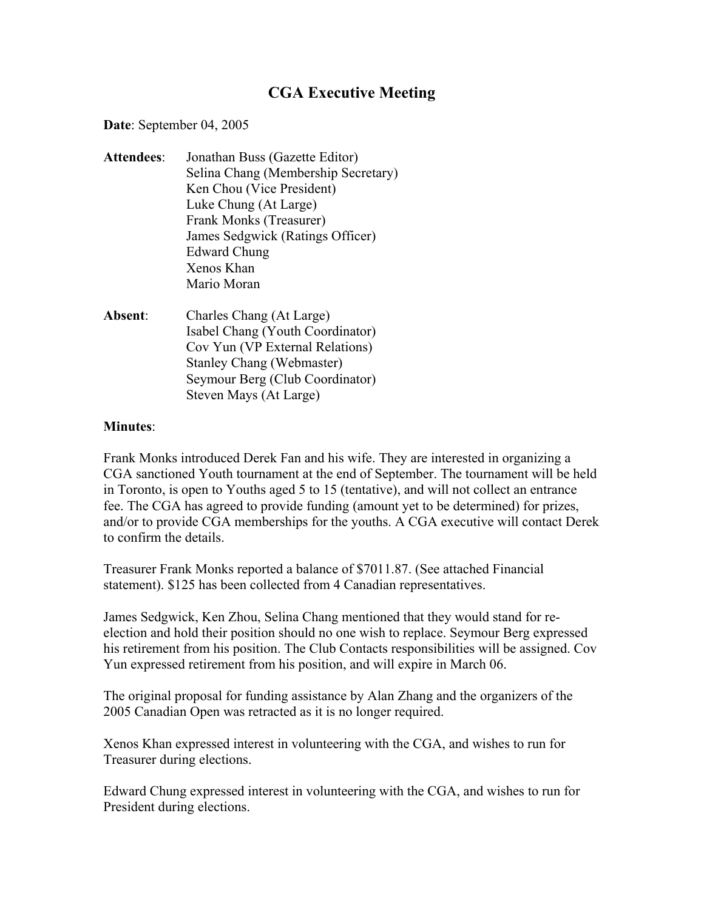## **CGA Executive Meeting**

**Date**: September 04, 2005

- **Attendees**: Jonathan Buss (Gazette Editor) Selina Chang (Membership Secretary) Ken Chou (Vice President) Luke Chung (At Large) Frank Monks (Treasurer) James Sedgwick (Ratings Officer) Edward Chung Xenos Khan Mario Moran
- **Absent**: Charles Chang (At Large) Isabel Chang (Youth Coordinator) Cov Yun (VP External Relations) Stanley Chang (Webmaster) Seymour Berg (Club Coordinator) Steven Mays (At Large)

## **Minutes**:

Frank Monks introduced Derek Fan and his wife. They are interested in organizing a CGA sanctioned Youth tournament at the end of September. The tournament will be held in Toronto, is open to Youths aged 5 to 15 (tentative), and will not collect an entrance fee. The CGA has agreed to provide funding (amount yet to be determined) for prizes, and/or to provide CGA memberships for the youths. A CGA executive will contact Derek to confirm the details.

Treasurer Frank Monks reported a balance of \$7011.87. (See attached Financial statement). \$125 has been collected from 4 Canadian representatives.

James Sedgwick, Ken Zhou, Selina Chang mentioned that they would stand for reelection and hold their position should no one wish to replace. Seymour Berg expressed his retirement from his position. The Club Contacts responsibilities will be assigned. Cov Yun expressed retirement from his position, and will expire in March 06.

The original proposal for funding assistance by Alan Zhang and the organizers of the 2005 Canadian Open was retracted as it is no longer required.

Xenos Khan expressed interest in volunteering with the CGA, and wishes to run for Treasurer during elections.

Edward Chung expressed interest in volunteering with the CGA, and wishes to run for President during elections.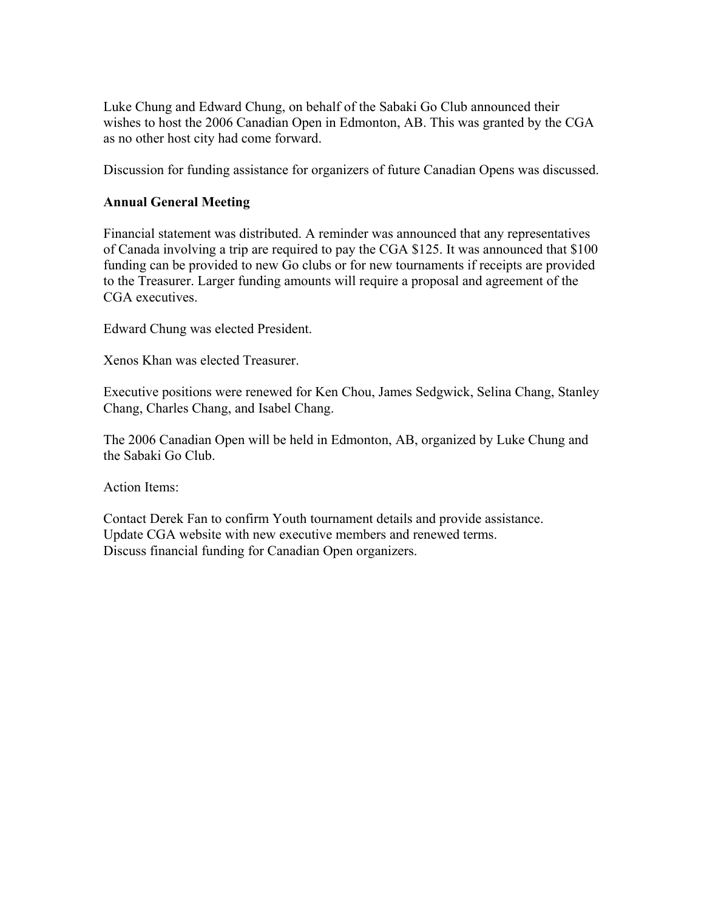Luke Chung and Edward Chung, on behalf of the Sabaki Go Club announced their wishes to host the 2006 Canadian Open in Edmonton, AB. This was granted by the CGA as no other host city had come forward.

Discussion for funding assistance for organizers of future Canadian Opens was discussed.

## **Annual General Meeting**

Financial statement was distributed. A reminder was announced that any representatives of Canada involving a trip are required to pay the CGA \$125. It was announced that \$100 funding can be provided to new Go clubs or for new tournaments if receipts are provided to the Treasurer. Larger funding amounts will require a proposal and agreement of the CGA executives.

Edward Chung was elected President.

Xenos Khan was elected Treasurer.

Executive positions were renewed for Ken Chou, James Sedgwick, Selina Chang, Stanley Chang, Charles Chang, and Isabel Chang.

The 2006 Canadian Open will be held in Edmonton, AB, organized by Luke Chung and the Sabaki Go Club.

Action Items:

Contact Derek Fan to confirm Youth tournament details and provide assistance. Update CGA website with new executive members and renewed terms. Discuss financial funding for Canadian Open organizers.